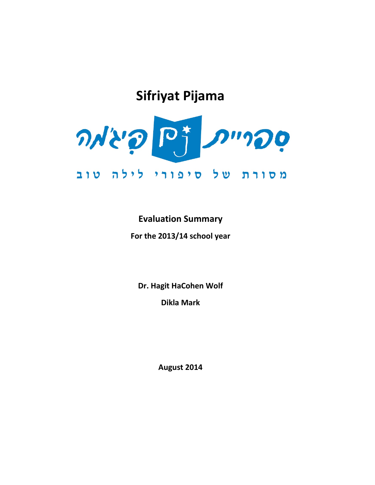# **Sifriyat Pijama**



# **Evaluation Summary**

**For the 2013/14 school year**

**Dr. Hagit HaCohen Wolf**

**Dikla Mark**

**August 2014**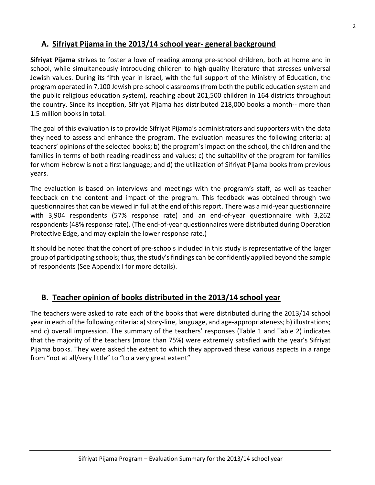# **A. Sifriyat Pijama in the 2013/14 school year- general background**

**Sifriyat Pijama** strives to foster a love of reading among pre-school children, both at home and in school, while simultaneously introducing children to high-quality literature that stresses universal Jewish values. During its fifth year in Israel, with the full support of the Ministry of Education, the program operated in 7,100 Jewish pre-school classrooms (from both the public education system and the public religious education system), reaching about 201,500 children in 164 districts throughout the country. Since its inception, Sifriyat Pijama has distributed 218,000 books a month-- more than 1.5 million books in total.

The goal of this evaluation is to provide Sifriyat Pijama's administrators and supporters with the data they need to assess and enhance the program. The evaluation measures the following criteria: a) teachers' opinions of the selected books; b) the program's impact on the school, the children and the families in terms of both reading-readiness and values; c) the suitability of the program for families for whom Hebrew is not a first language; and d) the utilization of Sifriyat Pijama books from previous years.

The evaluation is based on interviews and meetings with the program's staff, as well as teacher feedback on the content and impact of the program. This feedback was obtained through two questionnairesthat can be viewed in full at the end of this report. There was a mid-year questionnaire with 3,904 respondents (57% response rate) and an end-of-year questionnaire with 3,262 respondents (48% response rate). (The end-of-year questionnaires were distributed during Operation Protective Edge, and may explain the lower response rate.)

It should be noted that the cohort of pre-schools included in this study is representative of the larger group of participating schools; thus, the study's findings can be confidently applied beyond the sample of respondents (See Appendix I for more details).

# **B. Teacher opinion of books distributed in the 2013/14 school year**

The teachers were asked to rate each of the books that were distributed during the 2013/14 school year in each of the following criteria: a) story-line, language, and age-appropriateness; b) illustrations; and c) overall impression. The summary of the teachers' responses (Table 1 and Table 2) indicates that the majority of the teachers (more than 75%) were extremely satisfied with the year's Sifriyat Pijama books. They were asked the extent to which they approved these various aspects in a range from "not at all/very little" to "to a very great extent"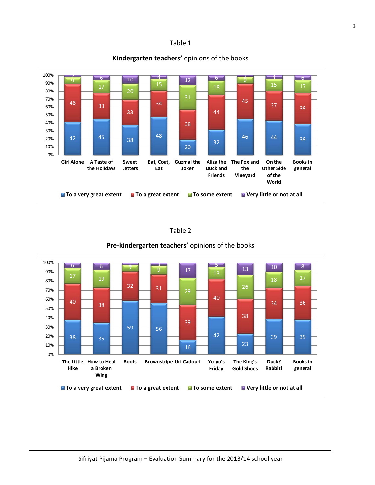### Table 1



### **Kindergarten teachers'** opinions of the books

### Table 2



### **Pre-kindergarten teachers'** opinions of the books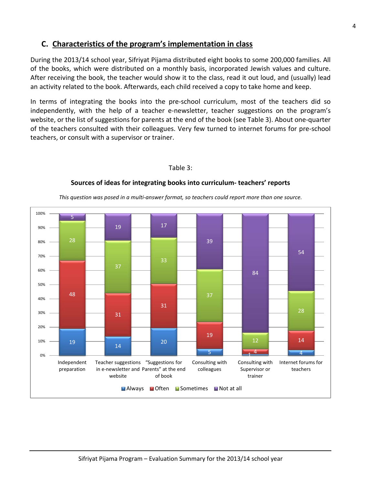# **C. Characteristics of the program's implementation in class**

During the 2013/14 school year, Sifriyat Pijama distributed eight books to some 200,000 families. All of the books, which were distributed on a monthly basis, incorporated Jewish values and culture. After receiving the book, the teacher would show it to the class, read it out loud, and (usually) lead an activity related to the book. Afterwards, each child received a copy to take home and keep.

In terms of integrating the books into the pre-school curriculum, most of the teachers did so independently, with the help of a teacher e-newsletter, teacher suggestions on the program's website, or the list of suggestions for parents at the end of the book (see Table 3). About one-quarter of the teachers consulted with their colleagues. Very few turned to internet forums for pre-school teachers, or consult with a supervisor or trainer.

### Table 3:

### **Sources of ideas for integrating books into curriculum- teachers' reports**

*This question was posed in a multi-answer format, so teachers could report more than one source.*

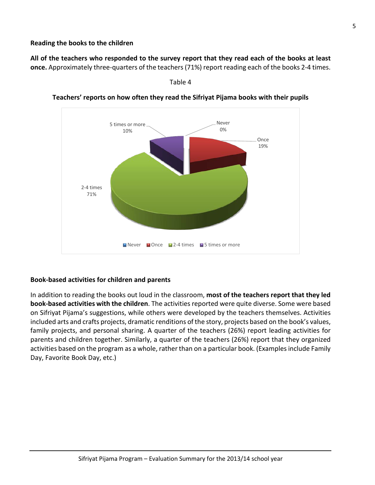**Reading the books to the children**

**All of the teachers who responded to the survey report that they read each of the books at least once.** Approximately three-quarters of the teachers (71%) report reading each of the books 2-4 times.



**Teachers' reports on how often they read the Sifriyat Pijama books with their pupils**

Table 4

### **Book-based activities for children and parents**

In addition to reading the books out loud in the classroom, **most of the teachers report that they led book-based activities with the children**. The activities reported were quite diverse. Some were based on Sifriyat Pijama's suggestions, while others were developed by the teachers themselves. Activities included arts and crafts projects, dramatic renditions of the story, projects based on the book's values, family projects, and personal sharing. A quarter of the teachers (26%) report leading activities for parents and children together. Similarly, a quarter of the teachers (26%) report that they organized activities based on the program as a whole, rather than on a particular book. (Examples include Family Day, Favorite Book Day, etc.)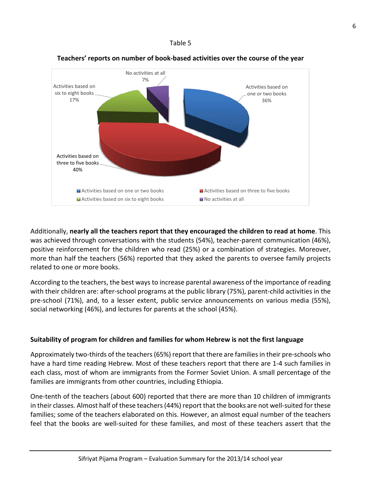### Table 5



### **Teachers' reports on number of book-based activities over the course of the year**

Additionally, **nearly all the teachers report that they encouraged the children to read at home**. This was achieved through conversations with the students (54%), teacher-parent communication (46%), positive reinforcement for the children who read (25%) or a combination of strategies. Moreover, more than half the teachers (56%) reported that they asked the parents to oversee family projects related to one or more books.

According to the teachers, the best ways to increase parental awareness of the importance of reading with their children are: after-school programs at the public library (75%), parent-child activities in the pre-school (71%), and, to a lesser extent, public service announcements on various media (55%), social networking (46%), and lectures for parents at the school (45%).

### **Suitability of program for children and families for whom Hebrew is not the first language**

Approximately two-thirds of the teachers (65%) report that there are families in their pre-schools who have a hard time reading Hebrew. Most of these teachers report that there are 1-4 such families in each class, most of whom are immigrants from the Former Soviet Union. A small percentage of the families are immigrants from other countries, including Ethiopia.

One-tenth of the teachers (about 600) reported that there are more than 10 children of immigrants in their classes. Almost half of these teachers (44%) report that the books are not well-suited for these families; some of the teachers elaborated on this. However, an almost equal number of the teachers feel that the books are well-suited for these families, and most of these teachers assert that the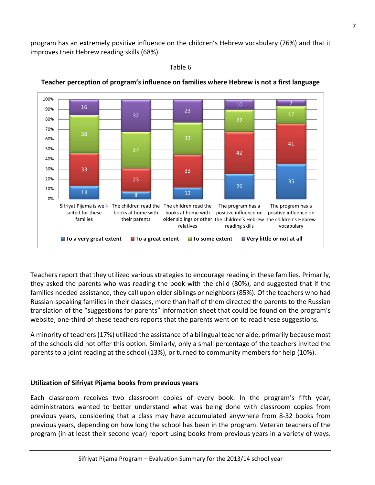program has an extremely positive influence on the children's Hebrew vocabulary (76%) and that it improves their Hebrew reading skills (68%).

### Table 6



### **Teacher perception of program's influence on families where Hebrew is not a first language**

Teachers report that they utilized various strategies to encourage reading in these families. Primarily, they asked the parents who was reading the book with the child (80%), and suggested that if the families needed assistance, they call upon older siblings or neighbors (85%). Of the teachers who had Russian-speaking families in their classes, more than half of them directed the parents to the Russian translation of the "suggestions for parents" information sheet that could be found on the program's website; one-third of these teachers reports that the parents went on to read these suggestions.

A minority of teachers(17%) utilized the assistance of a bilingual teacher aide, primarily because most of the schools did not offer this option. Similarly, only a small percentage of the teachers invited the parents to a joint reading at the school (13%), or turned to community members for help (10%).

### **Utilization of Sifriyat Pijama books from previous years**

Each classroom receives two classroom copies of every book. In the program's fifth year, administrators wanted to better understand what was being done with classroom copies from previous years, considering that a class may have accumulated anywhere from 8-32 books from previous years, depending on how long the school has been in the program. Veteran teachers of the program (in at least their second year) report using books from previous years in a variety of ways.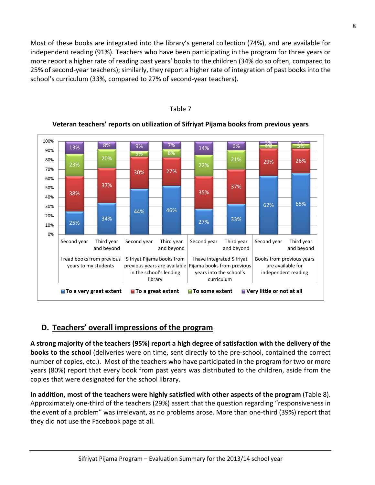Most of these books are integrated into the library's general collection (74%), and are available for independent reading (91%). Teachers who have been participating in the program for three years or more report a higher rate of reading past years' books to the children (34% do so often, compared to 25% of second-year teachers); similarly, they report a higher rate of integration of past books into the school's curriculum (33%, compared to 27% of second-year teachers).



### Table 7

### **Veteran teachers' reports on utilization of Sifriyat Pijama books from previous years**

# **D. Teachers' overall impressions of the program**

**A strong majority of the teachers (95%) report a high degree of satisfaction with the delivery of the books to the school** (deliveries were on time, sent directly to the pre-school, contained the correct number of copies, etc.). Most of the teachers who have participated in the program for two or more years (80%) report that every book from past years was distributed to the children, aside from the copies that were designated for the school library.

**In addition, most of the teachers were highly satisfied with other aspects of the program** (Table 8). Approximately one-third of the teachers (29%) assert that the question regarding "responsiveness in the event of a problem" was irrelevant, as no problems arose. More than one-third (39%) report that they did not use the Facebook page at all.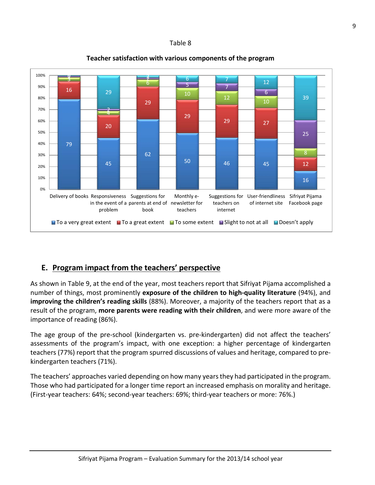### Table 8



### **Teacher satisfaction with various components of the program**

# **E. Program impact from the teachers' perspective**

As shown in Table 9, at the end of the year, most teachers report that Sifriyat Pijama accomplished a number of things, most prominently **exposure of the children to high-quality literature** (94%), and **improving the children's reading skills** (88%). Moreover, a majority of the teachers report that as a result of the program, **more parents were reading with their children**, and were more aware of the importance of reading (86%).

The age group of the pre-school (kindergarten vs. pre-kindergarten) did not affect the teachers' assessments of the program's impact, with one exception: a higher percentage of kindergarten teachers (77%) report that the program spurred discussions of values and heritage, compared to prekindergarten teachers (71%).

The teachers' approaches varied depending on how many years they had participated in the program. Those who had participated for a longer time report an increased emphasis on morality and heritage. (First-year teachers: 64%; second-year teachers: 69%; third-year teachers or more: 76%.)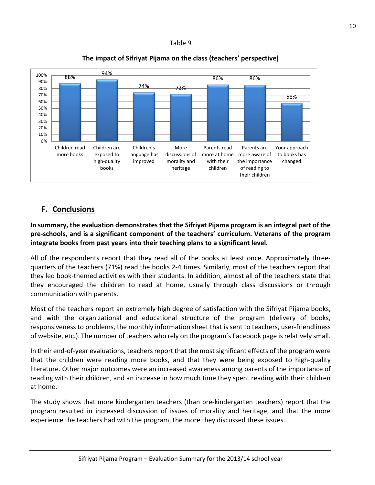### Table 9



### **The impact of Sifriyat Pijama on the class (teachers' perspective)**

# **F. Conclusions**

**In summary, the evaluation demonstrates that the Sifriyat Pijama program is an integral part of the pre-schools, and is a significant component of the teachers' curriculum. Veterans of the program integrate books from past years into their teaching plans to a significant level.**

All of the respondents report that they read all of the books at least once. Approximately threequarters of the teachers (71%) read the books 2-4 times. Similarly, most of the teachers report that they led book-themed activities with their students. In addition, almost all of the teachers state that they encouraged the children to read at home, usually through class discussions or through communication with parents.

Most of the teachers report an extremely high degree of satisfaction with the Sifriyat Pijama books, and with the organizational and educational structure of the program (delivery of books, responsiveness to problems, the monthly information sheet that is sent to teachers, user-friendliness of website, etc.). The number of teachers who rely on the program's Facebook page is relatively small.

In their end-of-year evaluations, teachers report that the most significant effects of the program were that the children were reading more books, and that they were being exposed to high-quality literature. Other major outcomes were an increased awareness among parents of the importance of reading with their children, and an increase in how much time they spent reading with their children at home.

The study shows that more kindergarten teachers (than pre-kindergarten teachers) report that the program resulted in increased discussion of issues of morality and heritage, and that the more experience the teachers had with the program, the more they discussed these issues.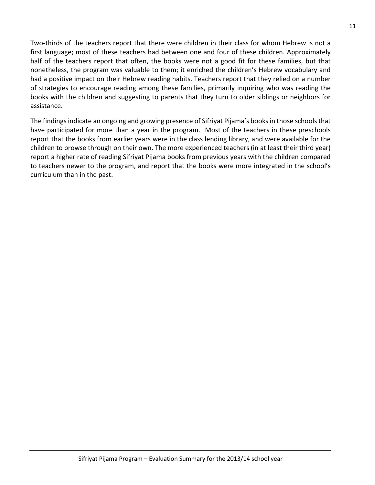Two-thirds of the teachers report that there were children in their class for whom Hebrew is not a first language; most of these teachers had between one and four of these children. Approximately half of the teachers report that often, the books were not a good fit for these families, but that nonetheless, the program was valuable to them; it enriched the children's Hebrew vocabulary and had a positive impact on their Hebrew reading habits. Teachers report that they relied on a number of strategies to encourage reading among these families, primarily inquiring who was reading the books with the children and suggesting to parents that they turn to older siblings or neighbors for assistance.

The findings indicate an ongoing and growing presence of Sifriyat Pijama's books in those schools that have participated for more than a year in the program. Most of the teachers in these preschools report that the books from earlier years were in the class lending library, and were available for the children to browse through on their own. The more experienced teachers (in at least their third year) report a higher rate of reading Sifriyat Pijama books from previous years with the children compared to teachers newer to the program, and report that the books were more integrated in the school's curriculum than in the past.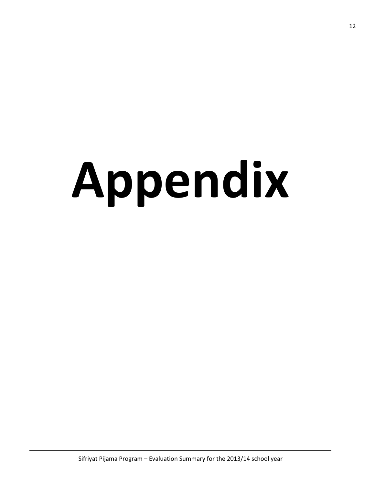# **Appendix**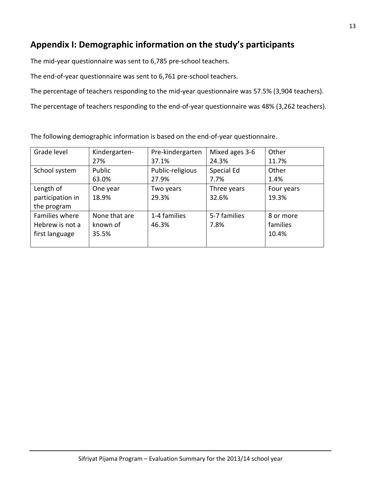# **Appendix I: Demographic information on the study's participants**

The mid-year questionnaire was sent to 6,785 pre-school teachers.

The end-of-year questionnaire was sent to 6,761 pre-school teachers.

The percentage of teachers responding to the mid-year questionnaire was 57.5% (3,904 teachers).

The percentage of teachers responding to the end-of-year questionnaire was 48% (3,262 teachers).

| Grade level      | Kindergarten- | Pre-kindergarten | Mixed ages 3-6 | Other      |
|------------------|---------------|------------------|----------------|------------|
|                  | 27%           | 37.1%            | 24.3%          | 11.7%      |
| School system    | Public        | Public-religious | Special Ed     | Other      |
|                  | 63.0%         | 27.9%            | 7.7%           | 1.4%       |
| Length of        | One year      | Two years        | Three years    | Four years |
| participation in | 18.9%         | 29.3%            | 32.6%          | 19.3%      |
| the program      |               |                  |                |            |
| Families where   | None that are | 1-4 families     | 5-7 families   | 8 or more  |
| Hebrew is not a  | known of      | 46.3%            | 7.8%           | families   |
| first language   | 35.5%         |                  |                | 10.4%      |
|                  |               |                  |                |            |

The following demographic information is based on the end-of-year questionnaire.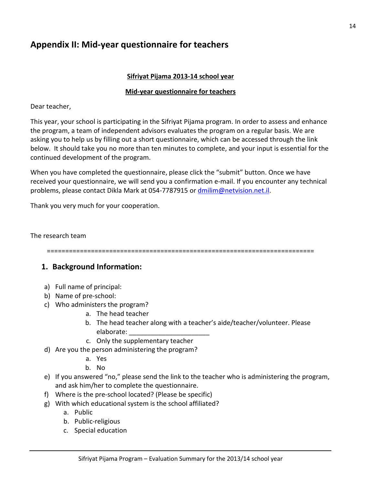# **Appendix II: Mid-year questionnaire for teachers**

### **Sifriyat Pijama 2013-14 school year**

### **Mid-year questionnaire for teachers**

Dear teacher,

This year, your school is participating in the Sifriyat Pijama program. In order to assess and enhance the program, a team of independent advisors evaluates the program on a regular basis. We are asking you to help us by filling out a short questionnaire, which can be accessed through the link below. It should take you no more than ten minutes to complete, and your input is essential for the continued development of the program.

When you have completed the questionnaire, please click the "submit" button. Once we have received your questionnaire, we will send you a confirmation e-mail. If you encounter any technical problems, please contact Dikla Mark at 054-7787915 or [dmilim@netvision.net.il.](mailto:dmilim@netvision.net.il)

Thank you very much for your cooperation.

### The research team

=========================================================================

# **1. Background Information:**

- a) Full name of principal:
- b) Name of pre-school:
- c) Who administers the program?
	- a. The head teacher
	- b. The head teacher along with a teacher's aide/teacher/volunteer. Please elaborate: \_\_\_\_\_\_\_\_\_\_\_\_\_\_\_\_\_\_\_\_\_\_
	- c. Only the supplementary teacher
- d) Are you the person administering the program?
	- a. Yes
	- b. No
- e) If you answered "no," please send the link to the teacher who is administering the program, and ask him/her to complete the questionnaire.
- f) Where is the pre-school located? (Please be specific)
- g) With which educational system is the school affiliated?
	- a. Public
	- b. Public-religious
	- c. Special education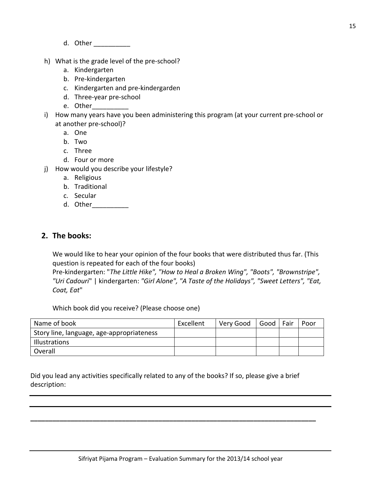- d. Other \_\_\_\_\_\_
- h) What is the grade level of the pre-school?
	- a. Kindergarten
	- b. Pre-kindergarten
	- c. Kindergarten and pre-kindergarden
	- d. Three-year pre-school
	- e. Other\_\_\_\_\_\_\_\_\_\_
- i) How many years have you been administering this program (at your current pre-school or at another pre-school)?
	- a. One
	- b. Two
	- c. Three
	- d. Four or more
- j) How would you describe your lifestyle?
	- a. Religious
	- b. Traditional
	- c. Secular
	- d. Other\_\_\_\_\_\_\_\_\_\_\_\_\_

### **2. The books:**

We would like to hear your opinion of the four books that were distributed thus far. (This question is repeated for each of the four books)

Pre-kindergarten: "*The Little Hike", "How to Heal a Broken Wing", "Boots", "Brownstripe", "Uri Cadouri*" | kindergarten: *"Girl Alone", "A Taste of the Holidays", "Sweet Letters", "Eat, Coat, Eat*"

Which book did you receive? (Please choose one)

| Name of book                              | Excellent | Very Good | Good   Fair | Poor |
|-------------------------------------------|-----------|-----------|-------------|------|
| Story line, language, age-appropriateness |           |           |             |      |
| Illustrations                             |           |           |             |      |
| Overall                                   |           |           |             |      |

Did you lead any activities specifically related to any of the books? If so, please give a brief description:

**\_\_\_\_\_\_\_\_\_\_\_\_\_\_\_\_\_\_\_\_\_\_\_\_\_\_\_\_\_\_\_\_\_\_\_\_\_\_\_\_\_\_\_\_\_\_\_\_\_\_\_\_\_\_\_\_\_\_\_\_\_\_\_\_\_\_\_\_\_\_\_\_\_\_\_\_\_\_**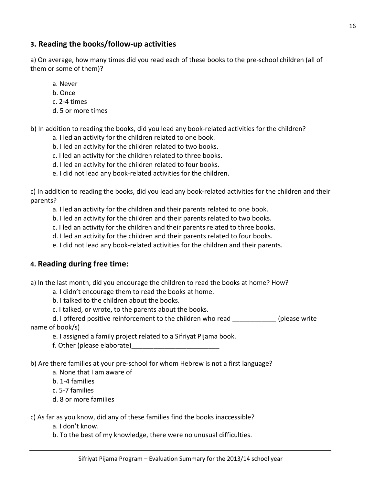# **3. Reading the books/follow-up activities**

a) On average, how many times did you read each of these books to the pre-school children (all of them or some of them)?

- a. Never
- b. Once
- c. 2-4 times
- d. 5 or more times

b) In addition to reading the books, did you lead any book-related activities for the children?

- a. I led an activity for the children related to one book.
- b. I led an activity for the children related to two books.
- c. I led an activity for the children related to three books.
- d. I led an activity for the children related to four books.
- e. I did not lead any book-related activities for the children.

c) In addition to reading the books, did you lead any book-related activities for the children and their parents?

a. I led an activity for the children and their parents related to one book.

- b. I led an activity for the children and their parents related to two books.
- c. I led an activity for the children and their parents related to three books.
- d. I led an activity for the children and their parents related to four books.
- e. I did not lead any book-related activities for the children and their parents.

# **4. Reading during free time:**

a) In the last month, did you encourage the children to read the books at home? How?

- a. I didn't encourage them to read the books at home.
- b. I talked to the children about the books.
- c. I talked, or wrote, to the parents about the books.

d. I offered positive reinforcement to the children who read \_\_\_\_\_\_\_\_\_\_\_\_\_(please write name of book/s)

- e. I assigned a family project related to a Sifriyat Pijama book.
- f. Other (please elaborate)
- b) Are there families at your pre-school for whom Hebrew is not a first language?
	- a. None that I am aware of
	- b. 1-4 families
	- c. 5-7 families
	- d. 8 or more families

c) As far as you know, did any of these families find the books inaccessible?

- a. I don't know.
- b. To the best of my knowledge, there were no unusual difficulties.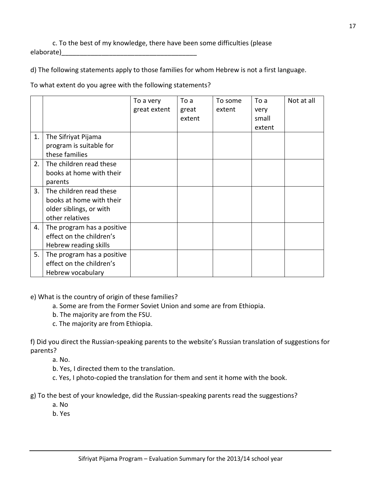c. To the best of my knowledge, there have been some difficulties (please elaborate)

d) The following statements apply to those families for whom Hebrew is not a first language.

To what extent do you agree with the following statements?

|    |                                                                                                   | To a very<br>great extent | To a<br>great<br>extent | To some<br>extent | To a<br>very<br>small<br>extent | Not at all |
|----|---------------------------------------------------------------------------------------------------|---------------------------|-------------------------|-------------------|---------------------------------|------------|
| 1. | The Sifriyat Pijama<br>program is suitable for<br>these families                                  |                           |                         |                   |                                 |            |
| 2. | The children read these<br>books at home with their<br>parents                                    |                           |                         |                   |                                 |            |
| 3. | The children read these<br>books at home with their<br>older siblings, or with<br>other relatives |                           |                         |                   |                                 |            |
| 4. | The program has a positive<br>effect on the children's<br>Hebrew reading skills                   |                           |                         |                   |                                 |            |
| 5. | The program has a positive<br>effect on the children's<br>Hebrew vocabulary                       |                           |                         |                   |                                 |            |

e) What is the country of origin of these families?

- a. Some are from the Former Soviet Union and some are from Ethiopia.
- b. The majority are from the FSU.
- c. The majority are from Ethiopia.

f) Did you direct the Russian-speaking parents to the website's Russian translation of suggestions for parents?

a. No.

- b. Yes, I directed them to the translation.
- c. Yes, I photo-copied the translation for them and sent it home with the book.

g) To the best of your knowledge, did the Russian-speaking parents read the suggestions?

- a. No
- b. Yes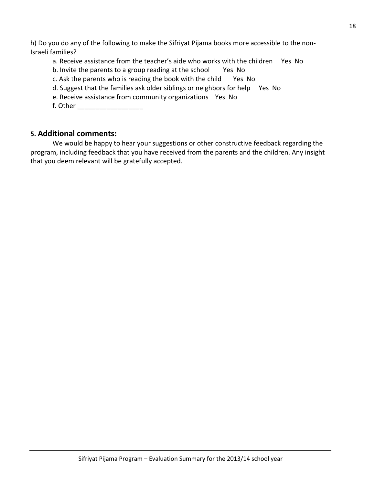h) Do you do any of the following to make the Sifriyat Pijama books more accessible to the non-Israeli families?

a. Receive assistance from the teacher's aide who works with the children Yes No

- b. Invite the parents to a group reading at the school Yes No
- c. Ask the parents who is reading the book with the child Yes No
- d. Suggest that the families ask older siblings or neighbors for help Yes No
- e. Receive assistance from community organizations Yes No
- f. Other \_\_\_\_\_\_\_\_\_\_\_\_\_\_\_\_\_\_

### **5. Additional comments:**

We would be happy to hear your suggestions or other constructive feedback regarding the program, including feedback that you have received from the parents and the children. Any insight that you deem relevant will be gratefully accepted.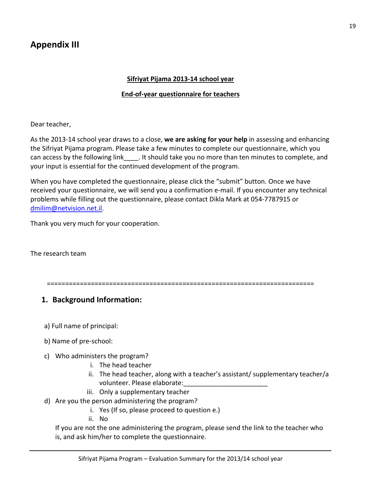### **Sifriyat Pijama 2013-14 school year**

### **End-of-year questionnaire for teachers**

Dear teacher,

As the 2013-14 school year draws to a close, **we are asking for your help** in assessing and enhancing the Sifriyat Pijama program. Please take a few minutes to complete our questionnaire, which you can access by the following link\_\_\_\_. It should take you no more than ten minutes to complete, and your input is essential for the continued development of the program.

When you have completed the questionnaire, please click the "submit" button. Once we have received your questionnaire, we will send you a confirmation e-mail. If you encounter any technical problems while filling out the questionnaire, please contact Dikla Mark at 054-7787915 or [dmilim@netvision.net.il.](mailto:dmilim@netvision.net.il)

Thank you very much for your cooperation.

The research team

=========================================================================

# **1. Background Information:**

- a) Full name of principal:
- b) Name of pre-school:
- c) Who administers the program?
	- i. The head teacher
	- ii. The head teacher, along with a teacher's assistant/ supplementary teacher/a volunteer. Please elaborate:
	- iii. Only a supplementary teacher
- d) Are you the person administering the program?
	- i. Yes (If so, please proceed to question e.)
	- ii. No

If you are not the one administering the program, please send the link to the teacher who is, and ask him/her to complete the questionnaire.

19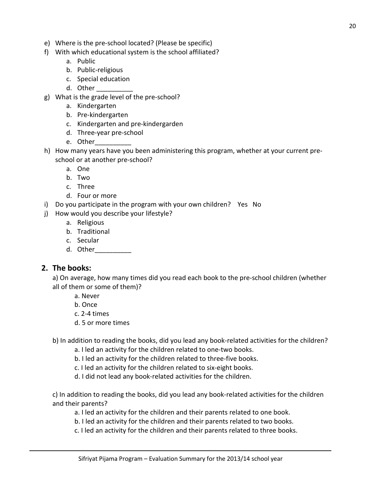- e) Where is the pre-school located? (Please be specific)
- f) With which educational system is the school affiliated?
	- a. Public
	- b. Public-religious
	- c. Special education
	- d. Other \_\_\_\_\_\_\_\_\_\_
- g) What is the grade level of the pre-school?
	- a. Kindergarten
	- b. Pre-kindergarten
	- c. Kindergarten and pre-kindergarden
	- d. Three-year pre-school
	- e. Other
- h) How many years have you been administering this program, whether at your current preschool or at another pre-school?
	- a. One
	- b. Two
	- c. Three
	- d. Four or more
- i) Do you participate in the program with your own children? Yes No
- j) How would you describe your lifestyle?
	- a. Religious
	- b. Traditional
	- c. Secular
	- d. Other\_\_\_\_\_\_\_\_\_\_

### **2. The books:**

a) On average, how many times did you read each book to the pre-school children (whether all of them or some of them)?

- a. Never
- b. Once
- c. 2-4 times
- d. 5 or more times

### b) In addition to reading the books, did you lead any book-related activities for the children?

- a. I led an activity for the children related to one-two books.
- b. I led an activity for the children related to three-five books.
- c. I led an activity for the children related to six-eight books.
- d. I did not lead any book-related activities for the children.

c) In addition to reading the books, did you lead any book-related activities for the children and their parents?

- a. I led an activity for the children and their parents related to one book.
- b. I led an activity for the children and their parents related to two books.
- c. I led an activity for the children and their parents related to three books.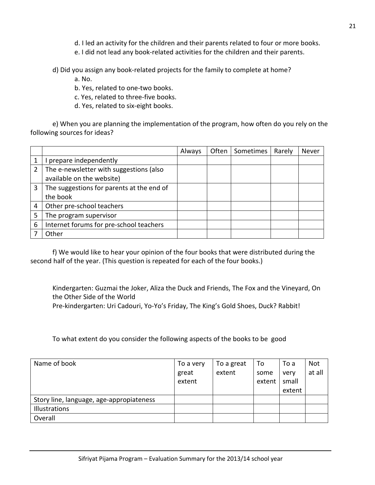d. I led an activity for the children and their parents related to four or more books.

e. I did not lead any book-related activities for the children and their parents.

d) Did you assign any book-related projects for the family to complete at home?

a. No.

b. Yes, related to one-two books.

c. Yes, related to three-five books.

d. Yes, related to six-eight books.

e) When you are planning the implementation of the program, how often do you rely on the following sources for ideas?

|   |                                           | Always | Often | Sometimes | Rarely | Never |
|---|-------------------------------------------|--------|-------|-----------|--------|-------|
|   | prepare independently                     |        |       |           |        |       |
| 2 | The e-newsletter with suggestions (also   |        |       |           |        |       |
|   | available on the website)                 |        |       |           |        |       |
| 3 | The suggestions for parents at the end of |        |       |           |        |       |
|   | the book                                  |        |       |           |        |       |
| 4 | Other pre-school teachers                 |        |       |           |        |       |
|   | The program supervisor                    |        |       |           |        |       |
| 6 | Internet forums for pre-school teachers   |        |       |           |        |       |
|   | Other                                     |        |       |           |        |       |

f) We would like to hear your opinion of the four books that were distributed during the second half of the year. (This question is repeated for each of the four books.)

Kindergarten: Guzmai the Joker, Aliza the Duck and Friends, The Fox and the Vineyard, On the Other Side of the World Pre-kindergarten: Uri Cadouri, Yo-Yo's Friday, The King's Gold Shoes, Duck? Rabbit!

To what extent do you consider the following aspects of the books to be good

| Name of book                             | To a very<br>great<br>extent | To a great<br>extent | To<br>some<br>extent | To a<br>very<br>small | Not<br>at all |
|------------------------------------------|------------------------------|----------------------|----------------------|-----------------------|---------------|
|                                          |                              |                      |                      | extent                |               |
| Story line, language, age-appropiateness |                              |                      |                      |                       |               |
| Illustrations                            |                              |                      |                      |                       |               |
| Overall                                  |                              |                      |                      |                       |               |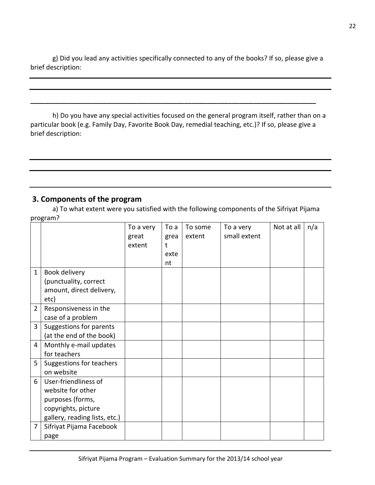g) Did you lead any activities specifically connected to any of the books? If so, please give a brief description:

h) Do you have any special activities focused on the general program itself, rather than on a particular book (e.g. Family Day, Favorite Book Day, remedial teaching, etc.)? If so, please give a brief description:

**\_\_\_\_\_\_\_\_\_\_\_\_\_\_\_\_\_\_\_\_\_\_\_\_\_\_\_\_\_\_\_\_\_\_\_\_\_\_\_\_\_\_\_\_\_\_\_\_\_\_\_\_\_\_\_\_\_\_\_\_\_\_\_\_\_\_\_\_\_\_\_\_\_\_\_\_\_\_**

# **3. Components of the program**

a) To what extent were you satisfied with the following components of the Sifriyat Pijama program?

|                |                               | To a very | To a | To some | To a very    | Not at all | n/a |
|----------------|-------------------------------|-----------|------|---------|--------------|------------|-----|
|                |                               | great     | grea | extent  | small extent |            |     |
|                |                               | extent    | t    |         |              |            |     |
|                |                               |           | exte |         |              |            |     |
|                |                               |           | nt   |         |              |            |     |
| $\mathbf{1}$   | Book delivery                 |           |      |         |              |            |     |
|                | (punctuality, correct         |           |      |         |              |            |     |
|                | amount, direct delivery,      |           |      |         |              |            |     |
|                | etc)                          |           |      |         |              |            |     |
| $\overline{2}$ | Responsiveness in the         |           |      |         |              |            |     |
|                | case of a problem             |           |      |         |              |            |     |
| 3              | Suggestions for parents       |           |      |         |              |            |     |
|                | (at the end of the book)      |           |      |         |              |            |     |
| 4              | Monthly e-mail updates        |           |      |         |              |            |     |
|                | for teachers                  |           |      |         |              |            |     |
| 5              | Suggestions for teachers      |           |      |         |              |            |     |
|                | on website                    |           |      |         |              |            |     |
| 6              | User-friendliness of          |           |      |         |              |            |     |
|                | website for other             |           |      |         |              |            |     |
|                | purposes (forms,              |           |      |         |              |            |     |
|                | copyrights, picture           |           |      |         |              |            |     |
|                | gallery, reading lists, etc.) |           |      |         |              |            |     |
| $\overline{7}$ | Sifriyat Pijama Facebook      |           |      |         |              |            |     |
|                | page                          |           |      |         |              |            |     |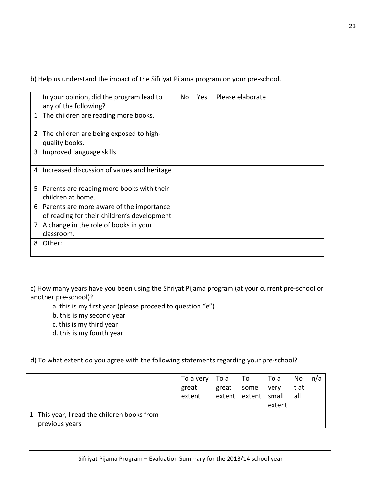b) Help us understand the impact of the Sifriyat Pijama program on your pre-school.

|                | In your opinion, did the program lead to    | No | Yes | Please elaborate |
|----------------|---------------------------------------------|----|-----|------------------|
|                | any of the following?                       |    |     |                  |
|                |                                             |    |     |                  |
| $\mathbf{1}$   | The children are reading more books.        |    |     |                  |
|                |                                             |    |     |                  |
| $\overline{2}$ | The children are being exposed to high-     |    |     |                  |
|                | quality books.                              |    |     |                  |
| 3              | Improved language skills                    |    |     |                  |
|                |                                             |    |     |                  |
| 4              | Increased discussion of values and heritage |    |     |                  |
|                |                                             |    |     |                  |
| 5              | Parents are reading more books with their   |    |     |                  |
|                | children at home.                           |    |     |                  |
| 6              | Parents are more aware of the importance    |    |     |                  |
|                |                                             |    |     |                  |
|                | of reading for their children's development |    |     |                  |
| 7              | A change in the role of books in your       |    |     |                  |
|                | classroom.                                  |    |     |                  |
| 8              | Other:                                      |    |     |                  |
|                |                                             |    |     |                  |
|                |                                             |    |     |                  |

c) How many years have you been using the Sifriyat Pijama program (at your current pre-school or another pre-school)?

- a. this is my first year (please proceed to question "e")
- b. this is my second year
- c. this is my third year
- d. this is my fourth year

d) To what extent do you agree with the following statements regarding your pre-school?

|                                           | To a very | To a  | To              | To a   | No   | n/a |
|-------------------------------------------|-----------|-------|-----------------|--------|------|-----|
|                                           | great     | great | some            | very   | t at |     |
|                                           | extent    |       | extent   extent | small  | all  |     |
|                                           |           |       |                 | extent |      |     |
| This year, I read the children books from |           |       |                 |        |      |     |
| previous years                            |           |       |                 |        |      |     |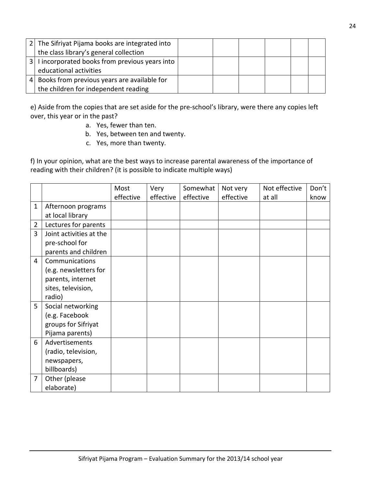| 2 <sup>1</sup> | The Sifriyat Pijama books are integrated into     |  |  |  |
|----------------|---------------------------------------------------|--|--|--|
|                | the class library's general collection            |  |  |  |
|                | 3   I incorporated books from previous years into |  |  |  |
|                | educational activities                            |  |  |  |
| 4              | Books from previous years are available for       |  |  |  |
|                | the children for independent reading              |  |  |  |

e) Aside from the copies that are set aside for the pre-school's library, were there any copies left over, this year or in the past?

- a. Yes, fewer than ten.
- b. Yes, between ten and twenty.
- c. Yes, more than twenty.

f) In your opinion, what are the best ways to increase parental awareness of the importance of reading with their children? (it is possible to indicate multiple ways)

|             |                         | Most      | Very      | Somewhat  | Not very  | Not effective | Don't |
|-------------|-------------------------|-----------|-----------|-----------|-----------|---------------|-------|
|             |                         | effective | effective | effective | effective | at all        | know  |
| $\mathbf 1$ | Afternoon programs      |           |           |           |           |               |       |
|             | at local library        |           |           |           |           |               |       |
| 2           | Lectures for parents    |           |           |           |           |               |       |
| 3           | Joint activities at the |           |           |           |           |               |       |
|             | pre-school for          |           |           |           |           |               |       |
|             | parents and children    |           |           |           |           |               |       |
| 4           | Communications          |           |           |           |           |               |       |
|             | (e.g. newsletters for   |           |           |           |           |               |       |
|             | parents, internet       |           |           |           |           |               |       |
|             | sites, television,      |           |           |           |           |               |       |
|             | radio)                  |           |           |           |           |               |       |
| 5           | Social networking       |           |           |           |           |               |       |
|             | (e.g. Facebook          |           |           |           |           |               |       |
|             | groups for Sifriyat     |           |           |           |           |               |       |
|             | Pijama parents)         |           |           |           |           |               |       |
| 6           | Advertisements          |           |           |           |           |               |       |
|             | (radio, television,     |           |           |           |           |               |       |
|             | newspapers,             |           |           |           |           |               |       |
|             | billboards)             |           |           |           |           |               |       |
| 7           | Other (please           |           |           |           |           |               |       |
|             | elaborate)              |           |           |           |           |               |       |